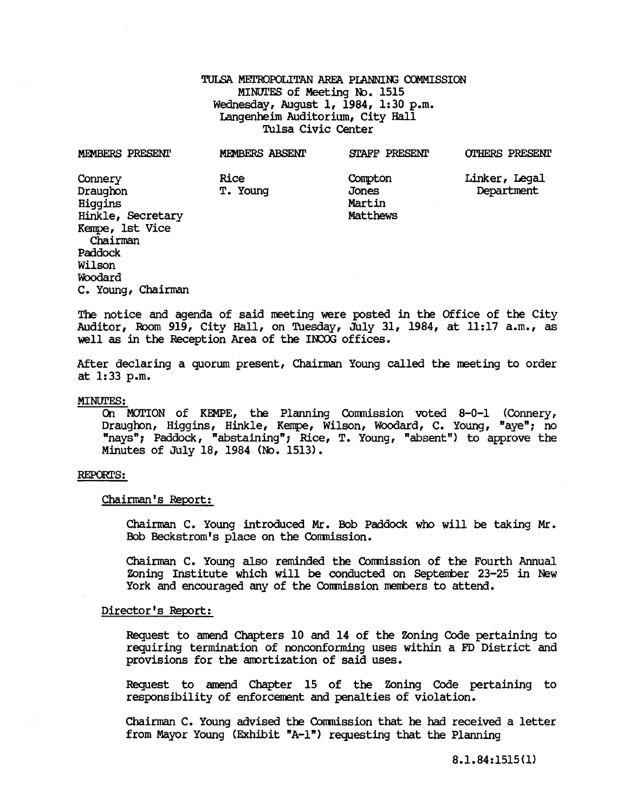# TULSA METROPOLITAN AREA PIANNING COMMISSION MINUTES of Meeting No. 1515 Wednesday, August 1, 1984, 1:30 p.m. Langenheim Auditorium, City Hall Tulsa Civic Center

| <b>MEMBERS PRESENT</b>                                                             | <b>MEMBERS ABSENT</b>   | <b>STAFF PRESENT</b>                   | <b>OTHERS PRESENT</b>       |
|------------------------------------------------------------------------------------|-------------------------|----------------------------------------|-----------------------------|
| Connery<br>Draughon<br>Higgins<br>Hinkle, Secretary<br>Kempe, 1st Vice<br>Chairman | <b>Rice</b><br>T. Young | Compton<br>Jones<br>Martin<br>Matthews | Linker, Legal<br>Department |
| Paddock<br>Wilson<br>Woodard<br>C. Young, Chairman                                 |                         |                                        |                             |

The notice and agenda of said meeting were posted in the Office of the City Auditor, Room 919, City Hall, on Tuesday, July 31, 1984, at 11:17 a.m., as well as in the Reception Area of the INCOG offices.

After declaring a quorum present, Chairman Young called the meeting to order at 1:33 p.m.

#### MINUrES:

On MOTION of KEMPE, the Planning Commission voted 8-0-1 (Connery, Draughon, Higgins, Hinkle, Kempe, Wilson, Woodard, C. Young, "aye"; no "nays"; Paddock, "abstaining"; Rice, T. Young, "absent") to approve the Minutes of July 18, 1984 (No. 1513).

#### REPORTS:

Chairman's Report:

Chairman C. Young introduced Mr. Bob Paddock who will be taking Mr. Bob Beckstrom's place on the Comnission.

Chairman C. Young also reminded the Commission of the Fourth Annual Zoning Institute which will be conducted on September 23-25 in New York and encouraged any of the Commission members to attend.

### Director's Report:

Request to amend Chapters 10 and 14 of the Zoning Code pertaining to requiring termination of nonconforming uses within a FD District and provisions for the amortization of said uses.

Request to amend Chapter 15 of the Zoning Code pertaining to responsibility of enforcement and penalties of violation.

Chainnan C. Young advised the Conmission that he had received a letter from Mayor Young (Exhibit "A-I") requesting that the Planning

8.1.84:1515(1)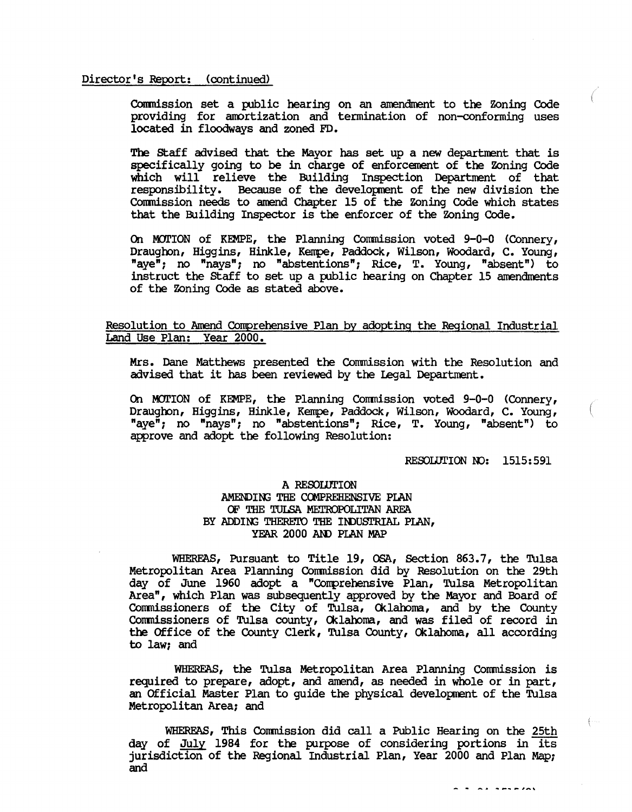#### Director's Report: (continued)

Commission set a public hearing on an amendment to the Zoning Code providing for amortization and termination of non-conforming uses located in floodways and zoned FD.

The staff advised that the Mayor has set up a new department that is specifically going to be in charge of enforcement of the Zoning Code which will relieve the Building Inspection Department of that responsibility. Because of the development of the new division the Commission needs to amend Chapter 15 of the Zoning Code which states that the Building Inspector is the enforcer of the ZOning Code.

On MOTION of KEMPE, the Planning Commission voted 9-0-0 (Connery, Draughon, Higgins, Hinkle, Kempe, Paddock, Wilson, Woodard, C. Young, "aye"; no "nays"; no "abstentions"; Rice, T. Young, "absent") to instruct the Staff to set up a public hearing on Chapter 15 amendments of the ZOning Code as stated above.

# Resolution to Amend Conprehensive Plan by adopting the Regional Industrial Land Use Plan:

Mrs. Dane Matthews presented the Commission with the Resolution and advised that it has been reviewed by the legal Department.

On MOl'ION of KEMPE, the Planning Commission voted 9-0-0 (Connery, Draughon, Higgins, Hinkle, Kempe, Paddock, Wilson, Woodard, C. Young, "aye"; no "nays"; no "abstentions"; Rice, T. Young, "absent") to approve and adopt the following Resolution:

#### RESOLUTION  $NO: 1515:591$

 $\ddot{ }$   $\ddot{ }$   $\ddot{ }$   $\ddot{ }$   $\ddot{ }$   $\ddot{ }$   $\ddot{ }$   $\ddot{ }$   $\ddot{ }$   $\ddot{ }$   $\ddot{ }$   $\ddot{ }$   $\ddot{ }$   $\ddot{ }$   $\ddot{ }$   $\ddot{ }$   $\ddot{ }$   $\ddot{ }$   $\ddot{ }$   $\ddot{ }$   $\ddot{ }$   $\ddot{ }$   $\ddot{ }$   $\ddot{ }$   $\ddot{ }$   $\ddot{ }$   $\ddot{ }$   $\ddot{$ 

 $\left\{ \cdots \right\}$ 

# A RESOLUTION AMENDING THE COMPREHENSIVE PIAN OF THE TULSA METROPOLITAN AREA BY ADDING THERETO THE INDUSTRIAL PIAN, YEAR 2000 AND PIAN MAP

WHEREAS, Pursuant to Title 19, OSA, Section 863.7, the Tulsa Metropolitan Area Planning Commission did by Resolution on the 29th day of June 1960 adopt a "Conprehensive Plan, Tulsa Metropolitan Area", which Plan was subsequently approved by the Mayor and Board of Commissioners of the City of Tulsa, Oklahoma, and by the County Commissioners of Tulsa county, Cklaroma, and was filed of record in the Office of the County Clerk, Tulsa County, Oklahoma, all according to law; and

WHEREAS, the Tulsa Metropolitan Area Planning Commission is required to prepare, adopt, and amend, as needed in whole or in part, an Official Master Plan to quide the physical development of the Tulsa Metropolitan Area; and

WHEREAS, This Commission did call a Public Hearing on the 25th day of July 1984 for the purpose of considering portions in its jurisdiction of the Regional Industrial Plan, Year 2000 and Plan Map; and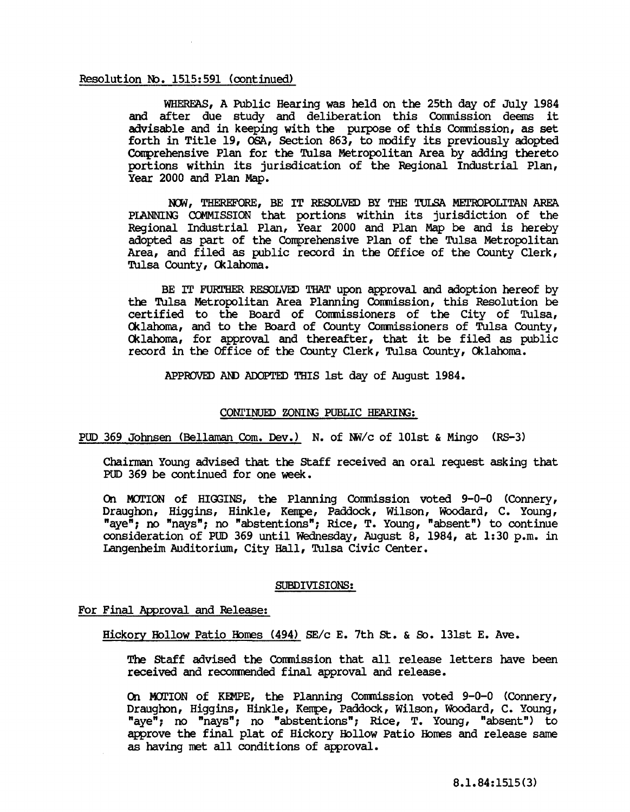# Resolution No. 1515:591 (continued)

WHEREAS, A Public Hearing was held on the 25th day of July 1984 and after due study and deliberation this Commission deems it advisable and in keeping with the purpose of this Commission, as set forth in Title 19, OSA, Section 863, to modify its previously adopted Conprehensive Plan for the Tulsa Metropolitan Area by adding thereto portions within its jurisdication of the Regional Industrial Plan, Year 2000 and Plan Map.

NOW, THEREFORE, BE IT RESOLVED BY THE TULSA METROPOLITAN AREA PIANNING COMMISSION that portions within its jurisdiction of the Regional Industrial Plan, Year 2000 and Plan Map be and is hereby adopted as part of the Conprehensive Plan of the Tulsa Metropolitan Area, and filed as public record in the Office of the County Clerk, Tulsa County, Cklahoma.

BE IT FURTHER RESOLVED THAT upon approval and adoption hereof by the Tulsa Metropolitan Area Planning Commission, this Resolution be certified to the Board of Commissioners of the City of Tulsa, Cklahoma, and to the Board of County Commissioners of Tulsa County, Cklahoma, for approval and thereafter, that it be filed as public record in the Office of the County Clerk, Tulsa County, Cklahoma.

APPROVED AID ADOPTED THIS 1st day of August 1984.

# CONTINUED ZONING PUBLIC HEARING:

PUD 369 Johnsen (Bellaman Com. Dev.) N. of NW/c of 101st & Mingo (RS-3)

Chairman Young advised that the staff received an oral request asking that PUD 369 be continued for one week.

On MOTION of HIGGINS, the Planning Commission voted 9-0-0 (Connery, Draughon, Higgins, Hinkle, Kempe, Paddock, Wilson, Woodard, C. Young, naughbit, ingginit, initial, hampe, raddoox, willow, woodard, of rodig, oonsideration of PUD 369 until wednesday, August 8, 1984, at 1:30 p.m. in Langenheim Auditorium, City Hall, Tulsa Civic Center.

#### SUBDIVISIONS:

### For Final Approval and Release:

Hickory Hollow Patio Homes (494) SE/c E. 7th St. & So. 131st E. Ave.

The Staff advised the Commission that all release letters have been received and recomrended final approval and release.

On MOTION of KEMPE, the Planning Commission voted 9-0-0 (Connery, Draughon, Higgins, Hinkle, Kempe, Paddock, Wilson, Woodard, C. Young, "aye"; no "nays"; no "abstentions"; Rice, T. Young, "absent") to approve the final plat of Hickory Hollow Patio Hones and release same as having net all conditions of approval.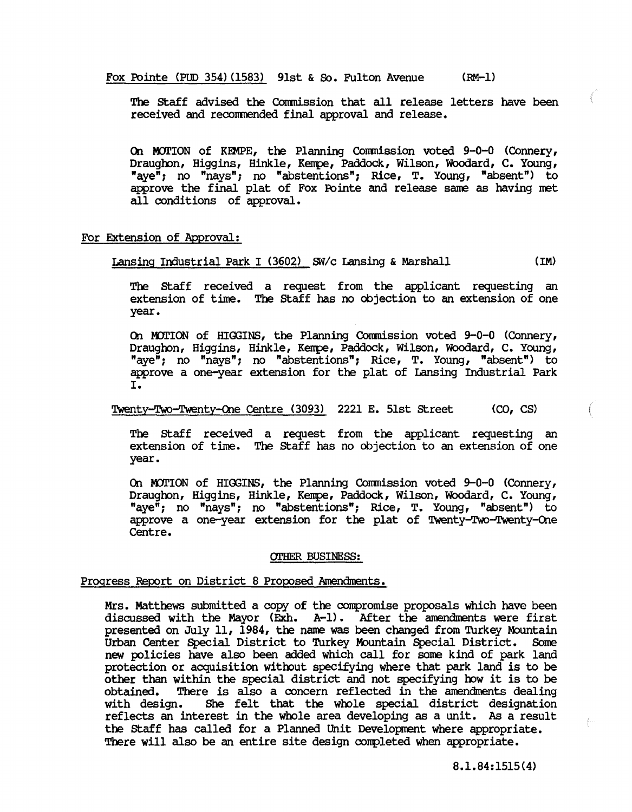Fox Pointe (PUD 354) (1583) 91st & So. Fulton Avenue (RM-1)

The staff advised the Conmission that all release letters have been received and reconmended final approval and release.

On MOTION of KEMPE, the Planning Commission voted  $9-0-0$  (Connery, Draughon, Higgins, Hinkle, Kempe, Paddock, Wilson, Woodard, C. Young, "aye"; no "nays"; no "abstentions"; Rice, T. Young, "absent") to awrove the final plat of Fox Pointe and release sane as having net all conditions of approval.

## For Extension of Approval:

Lansing Industrial Park I (3602) *Sillc* Lansing & Marshall (1M)

The staff received a request from the applicant requesting an extension of time. The staff has no objection to an extension of one year.

On MOTION of HIGGINS, the Planning Commission voted 9-0-0 (Connery, Draughon, Higgins, Hinkle, Kempe, Paddock, Wilson, Woodard, C. Young, "aye"; no "nays"; no "abstentions"; Rice, T. Young, "absent") to approve a one-year extension for the plat of Lansing Industrial Park I.

# Twenty-TWo-Twenty-Qne Centre (3093) 2221 E. 51st street (CO, CS)

The staff received a request from the applicant requesting an extension of time. The staff has no objection to an extension of one year.

On MOTION of HIGGINS, the Planning Commission voted  $9-0-0$  (Connery, Draughon, Higgins, Hinkle, Kempe, Paddock, Wilson, Woodard, C. Young, "aye"; no "nays"; no "abstentions"; Rice, T. Young, "absent") to approve a one-year extension for the plat of Twenty-Two-Twenty-One Centre.

#### OTHER BUSINESS:

# Progress Report on District 8 Proposed Amendments.

Mrs. Matthews submitted a copy of the compromise proposals which have been discussed with the Mayor (Exh. A-I). After the amendnents were first presented on July 11, 1984, the name was been changed from Turkey Mountain Urban Center Special District to Turkey Mountain Special District. Some new policies have also been added which call for sone kind of park land protection or acquisition without specifying where that park land is to be other than within the special district and not specifying how it is to be obtained. There is also a concern reflected in the amendments dealing obtained. There is also a concern reflected in the amendments dealing<br>with design. She felt that the whole special district designation She felt that the whole special district designation reflects an interest in the whole area developing as a unit. As a result the staff has called for a Planned Unit Development where appropriate. There will also be an entire site design completed when appropriate.

 $\left\{ \cdots \right\}$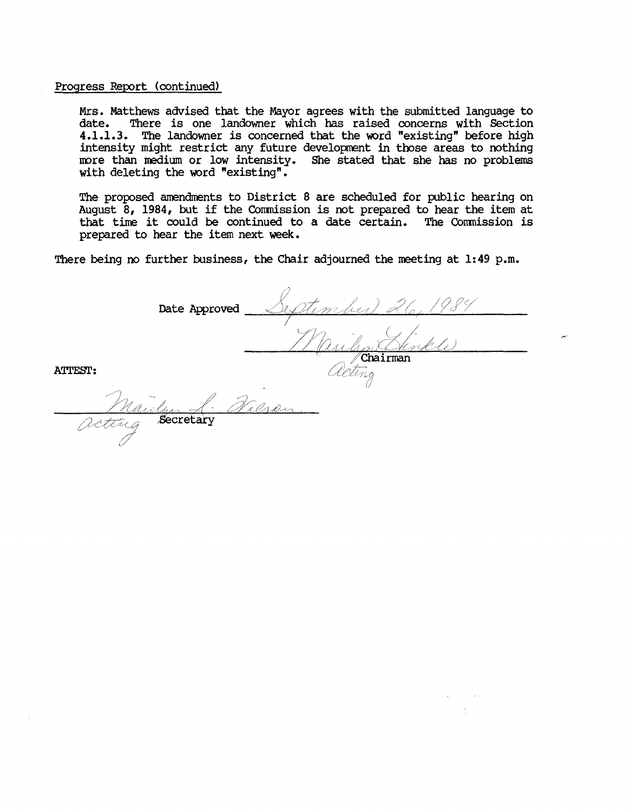### Progress Report (continued)

, <u>Mynamedia</u><br>Execretary

Mrs. Matthews advised that the Mayor agrees with the submitted language to There is one landowner which has raised concerns with Section 4.1.1.3. The landowner is concerned that the word "existing" before high intensity might restrict any future development in those areas to nothing more than medium or low intensity. She stated that she has no problems with deleting the word "existing".

The proposed amendments to District 8 are scheduled for public hearing on August 8, 1984, but if the Commission is not prepared to hear the item at that tine it could be continued to a date certain. The Comnission is prepared to hear the item next week.

There being no further business, the Chair adjourned the meeting at 1:49 p.m.

Date Approved September riban Hinkle acting

ATTEST: